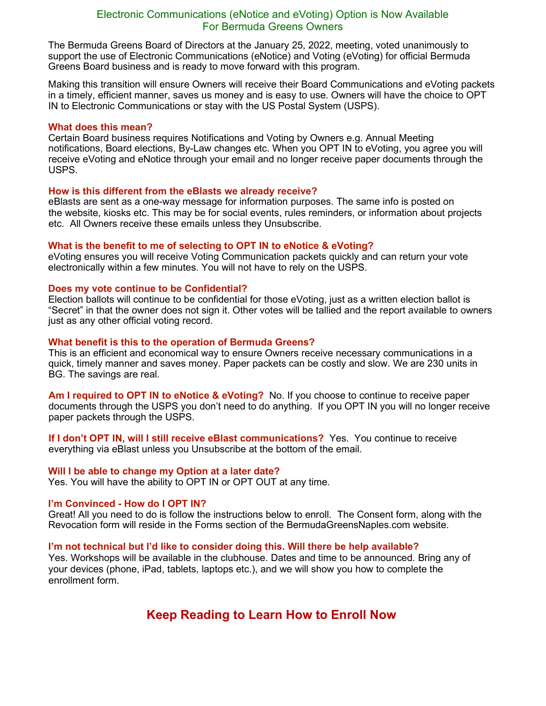## Electronic Communications (eNotice and eVoting) Option is Now Available For Bermuda Greens Owners

The Bermuda Greens Board of Directors at the January 25, 2022, meeting, voted unanimously to support the use of Electronic Communications (eNotice) and Voting (eVoting) for official Bermuda Greens Board business and is ready to move forward with this program.

Making this transition will ensure Owners will receive their Board Communications and eVoting packets in a timely, efficient manner, saves us money and is easy to use. Owners will have the choice to OPT IN to Electronic Communications or stay with the US Postal System (USPS).

#### **What does this mean?**

Certain Board business requires Notifications and Voting by Owners e.g. Annual Meeting notifications, Board elections, By-Law changes etc. When you OPT IN to eVoting, you agree you will receive eVoting and eNotice through your email and no longer receive paper documents through the USPS.

#### **How is this different from the eBlasts we already receive?**

eBlasts are sent as a one-way message for information purposes. The same info is posted on the website, kiosks etc. This may be for social events, rules reminders, or information about projects etc. All Owners receive these emails unless they Unsubscribe.

### **What is the benefit to me of selecting to OPT IN to eNotice & eVoting?**

eVoting ensures you will receive Voting Communication packets quickly and can return your vote electronically within a few minutes. You will not have to rely on the USPS.

### **Does my vote continue to be Confidential?**

Election ballots will continue to be confidential for those eVoting, just as a written election ballot is "Secret" in that the owner does not sign it. Other votes will be tallied and the report available to owners just as any other official voting record.

#### **What benefit is this to the operation of Bermuda Greens?**

This is an efficient and economical way to ensure Owners receive necessary communications in a quick, timely manner and saves money. Paper packets can be costly and slow. We are 230 units in BG. The savings are real.

**Am I required to OPT IN to eNotice & eVoting?** No. If you choose to continue to receive paper documents through the USPS you don't need to do anything. If you OPT IN you will no longer receive paper packets through the USPS.

**If I don't OPT IN, will I still receive eBlast communications?** Yes. You continue to receive everything via eBlast unless you Unsubscribe at the bottom of the email.

### **Will I be able to change my Option at a later date?**

Yes. You will have the ability to OPT IN or OPT OUT at any time.

### **I'm Convinced - How do I OPT IN?**

Great! All you need to do is follow the instructions below to enroll. The Consent form, along with the Revocation form will reside in the Forms section of the BermudaGreensNaples.com website.

### **I'm not technical but I'd like to consider doing this. Will there be help available?**

Yes. Workshops will be available in the clubhouse. Dates and time to be announced. Bring any of your devices (phone, iPad, tablets, laptops etc.), and we will show you how to complete the enrollment form.

# **Keep Reading to Learn How to Enroll Now**